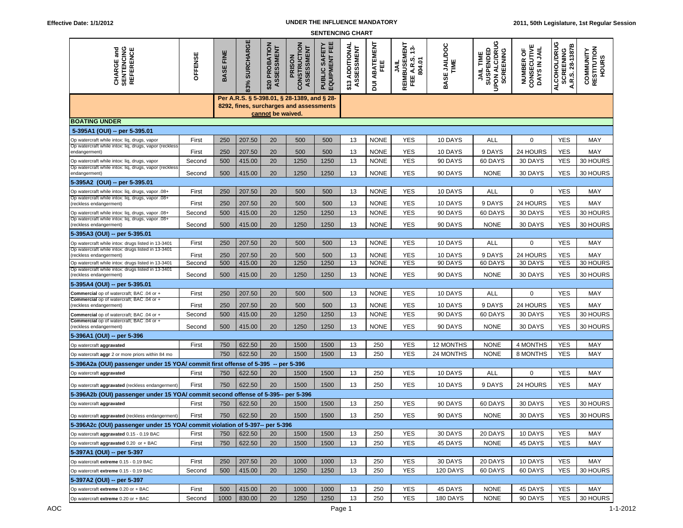## **UNDER THE INFLUENCE MANDATORY**

| <b>SENTENCING CHART</b>                                                                                |                     |                  |               |                                 |                                      |                                   |                               |                     |                                                  |                      |                                                                 |                                          |                                                            |                                   |
|--------------------------------------------------------------------------------------------------------|---------------------|------------------|---------------|---------------------------------|--------------------------------------|-----------------------------------|-------------------------------|---------------------|--------------------------------------------------|----------------------|-----------------------------------------------------------------|------------------------------------------|------------------------------------------------------------|-----------------------------------|
| <b>CHARGE and<br/>SENTENCING<br/>REFERENCE</b>                                                         | OFFENSE             | <b>BASE FINE</b> | 83% SURCHARGE | PROBATION<br>ASSESSMENT<br>\$20 | CONSTRUCTION<br>ASSESSMENT<br>PRISON | 巴<br>SAFET<br>EQUIPMENT<br>PUBLIC | \$13 ADDITIONAL<br>ASSESSMENT | ABATEMENT<br>뿐<br>恴 | 덞<br>4<br>REIMBUSEM<br>FEE A.R.S.<br>804.01<br>š | BASE JAILDOC<br>TIME | ပ<br>UPON ALC/DRU<br>JAIL TIME<br>SUSPENDED<br><b>SCREENING</b> | CONSECUTIVE<br>DAYS IN JAIL<br>NUMBER OF | ALCOHOL/DRUG<br>≃<br>28-1387<br><b>SCREENING</b><br>A.R.S. | COMMUNITY<br>RESTITUTION<br>HOURS |
| Per A.R.S. § 5-398.01, § 28-1389, and § 28-<br>8292, fines, surcharges and assessments                 |                     |                  |               |                                 |                                      |                                   |                               |                     |                                                  |                      |                                                                 |                                          |                                                            |                                   |
| cannot be waived.                                                                                      |                     |                  |               |                                 |                                      |                                   |                               |                     |                                                  |                      |                                                                 |                                          |                                                            |                                   |
| <b>BOATING UNDER</b>                                                                                   |                     |                  |               |                                 |                                      |                                   |                               |                     |                                                  |                      |                                                                 |                                          |                                                            |                                   |
| 5-395A1 (OUI) -- per 5-395.01                                                                          |                     |                  |               |                                 |                                      |                                   |                               |                     |                                                  |                      |                                                                 |                                          |                                                            |                                   |
| Op watercraft while intox: liq, drugs, vapor<br>Op watercraft while intox: liq, drugs, vapor (reckless | First               | 250              | 207.50        | 20                              | 500                                  | 500                               | 13                            | <b>NONE</b>         | <b>YES</b>                                       | 10 DAYS              | ALL                                                             | 0                                        | <b>YES</b>                                                 | MAY                               |
| endangerment)                                                                                          | First               | 250              | 207.50        | 20                              | 500                                  | 500                               | 13                            | <b>NONE</b>         | <b>YES</b>                                       | 10 DAYS              | 9 DAYS                                                          | 24 HOURS                                 | <b>YES</b>                                                 | MAY                               |
| Op watercraft while intox: liq, drugs, vapor                                                           | Second              | 500              | 415.00        | 20                              | 1250                                 | 1250                              | 13                            | <b>NONE</b>         | <b>YES</b>                                       | 90 DAYS              | 60 DAYS                                                         | 30 DAYS                                  | <b>YES</b>                                                 | 30 HOURS                          |
| Op watercraft while intox: liq, drugs, vapor (reckless<br>endangerment)                                | Second              | 500              | 415.00        | 20                              | 1250                                 | 1250                              | 13                            | <b>NONE</b>         | <b>YES</b>                                       | 90 DAYS              | <b>NONE</b>                                                     | 30 DAYS                                  | <b>YES</b>                                                 | 30 HOURS                          |
| 5-395A2 (OUI) -- per 5-395.01                                                                          |                     |                  |               |                                 |                                      |                                   |                               |                     |                                                  |                      |                                                                 |                                          |                                                            |                                   |
| Op watercraft while intox: liq, drugs, vapor .08+                                                      | First               | 250              | 207.50        | 20                              | 500                                  | 500                               | 13                            | <b>NONE</b>         | <b>YES</b>                                       | 10 DAYS              | ALL                                                             | 0                                        | <b>YES</b>                                                 | MAY                               |
| Op watercraft while intox: liq, drugs, vapor .08+<br>(reckless endangerment)                           | First               | 250              | 207.50        | 20                              | 500                                  | 500                               | 13                            | <b>NONE</b>         | <b>YES</b>                                       | 10 DAYS              | 9 DAYS                                                          | 24 HOURS                                 | <b>YES</b>                                                 | MAY                               |
| Op watercraft while intox: liq, drugs, vapor .08+                                                      | Second              | 500              | 415.00        | 20                              | 1250                                 | 1250                              | 13                            | <b>NONE</b>         | <b>YES</b>                                       | 90 DAYS              | 60 DAYS                                                         | 30 DAYS                                  | <b>YES</b>                                                 | 30 HOURS                          |
| Op watercraft while intox: liq, drugs, vapor .08+<br>(reckless endangerment)                           | Second              | 500              | 415.00        | 20                              | 1250                                 | 1250                              | 13                            | <b>NONE</b>         | <b>YES</b>                                       | 90 DAYS              | <b>NONE</b>                                                     | 30 DAYS                                  | <b>YES</b>                                                 | 30 HOURS                          |
| 5-395A3 (OUI) -- per 5-395.01                                                                          |                     |                  |               |                                 |                                      |                                   |                               |                     |                                                  |                      |                                                                 |                                          |                                                            |                                   |
| Op watercraft while intox: drugs listed in 13-3401                                                     | First               | 250              | 207.50        | 20                              | 500                                  | 500                               | 13                            | <b>NONE</b>         | <b>YES</b>                                       | 10 DAYS              | ALL                                                             | 0                                        | <b>YES</b>                                                 | MAY                               |
| Op watercraft while intox: drugs listed in 13-3401<br>reckless endangerment)                           | First               | 250              | 207.50        | 20                              | 500                                  | 500                               | 13                            | <b>NONE</b>         | <b>YES</b>                                       | 10 DAYS              | 9 DAYS                                                          | 24 HOURS                                 | <b>YES</b>                                                 | MAY                               |
| Op watercraft while intox: drugs listed in 13-3401                                                     | Second              | 500              | 415.00        | 20                              | 1250                                 | 1250                              | 13                            | <b>NONE</b>         | <b>YES</b>                                       | 90 DAYS              | 60 DAYS                                                         | 30 DAYS                                  | YES                                                        | 30 HOURS                          |
| Op watercraft while intox: drugs listed in 13-3401<br>(reckless endangerment)                          | Second              | 500              | 415.00        | 20                              | 1250                                 | 1250                              | 13                            | <b>NONE</b>         | <b>YES</b>                                       | 90 DAYS              | <b>NONE</b>                                                     | 30 DAYS                                  | <b>YES</b>                                                 | 30 HOURS                          |
| 5-395A4 (OUI) -- per 5-395.01                                                                          |                     |                  |               |                                 |                                      |                                   |                               |                     |                                                  |                      |                                                                 |                                          |                                                            |                                   |
| Commercial op of watercraft; BAC .04 or +                                                              | First               | 250              | 207.50        | 20                              | 500                                  | 500                               | 13                            | <b>NONE</b>         | <b>YES</b>                                       | 10 DAYS              | <b>ALL</b>                                                      | 0                                        | <b>YES</b>                                                 | MAY                               |
| Commercial op of watercraft; BAC .04 or +<br>(reckless endangerment)                                   | First               | 250              | 207.50        | 20                              | 500                                  | 500                               | 13                            | <b>NONE</b>         | <b>YES</b>                                       | 10 DAYS              | 9 DAYS                                                          | 24 HOURS                                 | <b>YES</b>                                                 | MAY                               |
| Commercial op of watercraft; BAC .04 or +                                                              | Second              | 500              | 415.00        | 20                              | 1250                                 | 1250                              | 13                            | <b>NONE</b>         | <b>YES</b>                                       | 90 DAYS              | 60 DAYS                                                         | 30 DAYS                                  | <b>YES</b>                                                 | 30 HOURS                          |
| Commercial op of watercraft; BAC .04 or +<br>(reckless endangerment)                                   | Second              | 500              | 415.00        | 20                              | 1250                                 | 1250                              | 13                            | <b>NONE</b>         | <b>YES</b>                                       | 90 DAYS              | <b>NONE</b>                                                     | 30 DAYS                                  | <b>YES</b>                                                 | 30 HOURS                          |
| 5-396A1 (OUI) -- per 5-396                                                                             |                     |                  |               |                                 |                                      |                                   |                               |                     |                                                  |                      |                                                                 |                                          |                                                            |                                   |
| Op watercraft aggravated                                                                               | First               | 750              | 622.50        | 20                              | 1500                                 | 1500                              | 13                            | 250                 | <b>YES</b>                                       | 12 MONTHS            | <b>NONE</b>                                                     | 4 MONTHS                                 | <b>YES</b>                                                 | MAY                               |
| Op watercraft aggr 2 or more priors within 84 mo                                                       |                     | 750              | 622.50        | 20                              | 1500                                 | 1500                              | 13                            | 250                 | <b>YES</b>                                       | 24 MONTHS            | <b>NONE</b>                                                     | 8 MONTHS                                 | <b>YES</b>                                                 | MAY                               |
| 5-396A2a (OUI) passenger under 15 YOA/ commit first offense of 5-395 -- per 5-396                      |                     |                  |               |                                 |                                      |                                   |                               |                     |                                                  |                      |                                                                 |                                          |                                                            |                                   |
| Op watercraft aggravated                                                                               | First               | 750              | 622.50        | 20                              | 1500                                 | 1500                              | 13                            | 250                 | <b>YES</b>                                       | 10 DAYS              | ALL                                                             | 0                                        | <b>YES</b>                                                 | MAY                               |
| Op watercraft aggravated (reckless endangerment)                                                       | First               | 750              | 622.50        | 20                              | 1500                                 | 1500                              | 13                            | 250                 | <b>YES</b>                                       | 10 DAYS              | 9 DAYS                                                          | 24 HOURS                                 | <b>YES</b>                                                 | MAY                               |
| 5-396A2b (OUI) passenger under 15 YOA/ commit second offense of 5-395-- per 5-396                      |                     |                  |               |                                 |                                      |                                   |                               |                     |                                                  |                      |                                                                 |                                          |                                                            |                                   |
| Op watercraft aggravated                                                                               | First               | 750              | 622.50        | 20                              | 1500                                 | 1500                              | 13                            | 250                 | <b>YES</b>                                       | 90 DAYS              | 60 DAYS                                                         | 30 DAYS                                  | <b>YES</b>                                                 | 30 HOURS                          |
| Up watercratt aggravated (reckless endangerment)                                                       | First 750 622.50 20 |                  |               |                                 | 1500                                 | 1500                              | 13                            | 250                 | YES                                              | 90 DAYS              | <b>NONE</b>                                                     | 30 DAYS                                  |                                                            | YES 30 HOURS                      |
| 5-396A2c (OUI) passenger under 15 YOA/ commit violation of 5-397-- per 5-396                           |                     |                  |               |                                 |                                      |                                   |                               |                     |                                                  |                      |                                                                 |                                          |                                                            |                                   |
| Op watercraft aggravated 0.15 - 0.19 BAC                                                               | First               | 750              | 622.50        | 20                              | 1500                                 | 1500                              | 13                            | 250                 | YES                                              | 30 DAYS              | 20 DAYS                                                         | 10 DAYS                                  | <b>YES</b>                                                 | MAY                               |
| Op watercraft aggravated 0.20 or + BAC                                                                 | First               | 750              | 622.50        | 20                              | 1500                                 | 1500                              | 13                            | 250                 | <b>YES</b>                                       | 45 DAYS              | <b>NONE</b>                                                     | 45 DAYS                                  | <b>YES</b>                                                 | MAY                               |
| 5-397A1 (OUI) -- per 5-397                                                                             |                     |                  |               |                                 |                                      |                                   |                               |                     |                                                  |                      |                                                                 |                                          |                                                            |                                   |
| Op watercraft extreme 0.15 - 0.19 BAC                                                                  | First               | 250              | 207.50        | 20                              | 1000                                 | 1000                              | 13                            | 250                 | YES                                              | 30 DAYS              | 20 DAYS                                                         | 10 DAYS                                  | <b>YES</b>                                                 | MAY                               |
| Op watercraft extreme 0.15 - 0.19 BAC                                                                  | Second              | 500              | 415.00        | 20                              | 1250                                 | 1250                              | 13                            | 250                 | <b>YES</b>                                       | 120 DAYS             | 60 DAYS                                                         | 60 DAYS                                  | <b>YES</b>                                                 | 30 HOURS                          |
| 5-397A2 (OUI) -- per 5-397                                                                             |                     |                  |               |                                 |                                      |                                   |                               |                     |                                                  |                      |                                                                 |                                          |                                                            |                                   |
| Op watercraft extreme 0.20 or + BAC                                                                    | First               | 500              | 415.00        | 20                              | 1000                                 | 1000                              | 13                            | 250                 | YES                                              | 45 DAYS              | <b>NONE</b>                                                     | 45 DAYS                                  | <b>YES</b>                                                 | MAY                               |
| Op watercraft extreme 0.20 or + BAC                                                                    | Second              | 1000             | 830.00        | 20                              | 1250                                 | 1250                              | 13                            | 250                 | YES                                              | 180 DAYS             | <b>NONE</b>                                                     | 90 DAYS                                  | <b>YES</b>                                                 | 30 HOURS                          |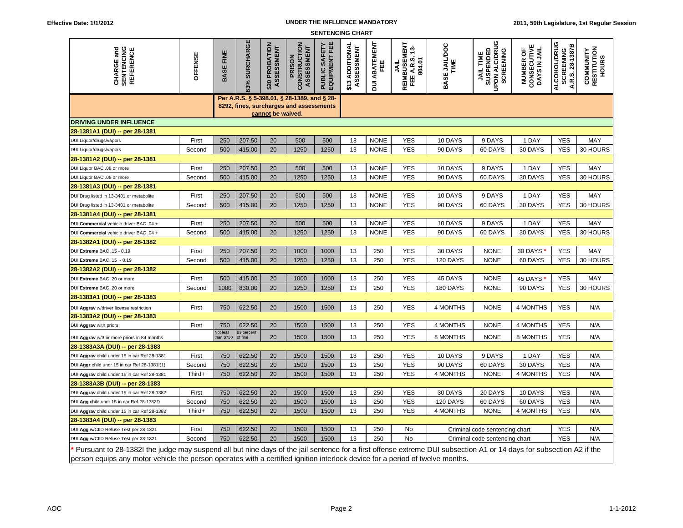## **UNDER THE INFLUENCE MANDATORY**

| <b>SENTENCING CHART</b>                                                                                                                                             |         |                                                                                                             |               |                              |                                      |                                    |                               |                           |                                                          |                      |                                                                               |                                                   |                                                     |                                          |
|---------------------------------------------------------------------------------------------------------------------------------------------------------------------|---------|-------------------------------------------------------------------------------------------------------------|---------------|------------------------------|--------------------------------------|------------------------------------|-------------------------------|---------------------------|----------------------------------------------------------|----------------------|-------------------------------------------------------------------------------|---------------------------------------------------|-----------------------------------------------------|------------------------------------------|
| <b>CHARGE and<br/>SENTENCING<br/>REFERENCE</b>                                                                                                                      | OFFENSE | <b>BASE FINE</b>                                                                                            | 83% SURCHARGE | \$20 PROBATION<br>ASSESSMENT | CONSTRUCTION<br>ASSESSMENT<br>PRISON | SAFETY<br>핀<br>EQUIPMENT<br>PUBLIC | \$13 ADDITIONAL<br>ASSESSMENT | <b>DUI ABATEMENT</b><br>Ë | <b>REIMBUSEMENT<br/>FEE A.R.S. 13-</b><br>804.01<br>JAIL | BASE JAILDOC<br>TIME | ပ<br><b>UPON ALC/DRU</b><br>SUSPENDED<br><b>SCREENING</b><br><b>JAIL TIME</b> | <b>NUMBER OF<br/>CONSECUTIVE<br/>DAYS IN JAIL</b> | ALCOHOL/DRUG<br>A.R.S. 28-1387B<br><b>SCREENING</b> | RESTITUTION<br>COMMUNITY<br><b>HOURS</b> |
|                                                                                                                                                                     |         | Per A.R.S. § 5-398.01, § 28-1389, and § 28-<br>8292, fines, surcharges and assessments<br>cannot be waived. |               |                              |                                      |                                    |                               |                           |                                                          |                      |                                                                               |                                                   |                                                     |                                          |
| <b>DRIVING UNDER INFLUENCE</b>                                                                                                                                      |         |                                                                                                             |               |                              |                                      |                                    |                               |                           |                                                          |                      |                                                                               |                                                   |                                                     |                                          |
| 28-1381A1 (DUI) -- per 28-1381                                                                                                                                      |         |                                                                                                             |               |                              |                                      |                                    |                               |                           |                                                          |                      |                                                                               |                                                   |                                                     |                                          |
| DUI Liquor/drugs/vapors                                                                                                                                             | First   | 250                                                                                                         | 207.50        | 20                           | 500                                  | 500                                | 13                            | <b>NONE</b>               | <b>YES</b>                                               | 10 DAYS              | 9 DAYS                                                                        | 1 DAY                                             | <b>YES</b>                                          | MAY                                      |
| DUI Liquor/drugs/vapors                                                                                                                                             | Second  | 500                                                                                                         | 415.00        | 20                           | 1250                                 | 1250                               | 13                            | <b>NONE</b>               | <b>YES</b>                                               | 90 DAYS              | 60 DAYS                                                                       | 30 DAYS                                           | <b>YES</b>                                          | 30 HOURS                                 |
| 28-1381A2 (DUI) -- per 28-1381                                                                                                                                      |         |                                                                                                             |               |                              |                                      |                                    |                               |                           |                                                          |                      |                                                                               |                                                   |                                                     |                                          |
| DUI Liquor BAC .08 or more                                                                                                                                          | First   | 250                                                                                                         | 207.50        | 20                           | 500                                  | 500                                | 13                            | <b>NONE</b>               | <b>YES</b>                                               | 10 DAYS              | 9 DAYS                                                                        | 1 DAY                                             | <b>YES</b>                                          | MAY                                      |
| DUI Liquor BAC .08 or more                                                                                                                                          | Second  | 500                                                                                                         | 415.00        | 20                           | 1250                                 | 1250                               | 13                            | <b>NONE</b>               | <b>YES</b>                                               | 90 DAYS              | 60 DAYS                                                                       | 30 DAYS                                           | <b>YES</b>                                          | 30 HOURS                                 |
| 28-1381A3 (DUI) -- per 28-1381                                                                                                                                      |         |                                                                                                             |               |                              |                                      |                                    |                               |                           |                                                          |                      |                                                                               |                                                   |                                                     |                                          |
| DUI Drug listed in 13-3401 or metabolite                                                                                                                            | First   | 250                                                                                                         | 207.50        | 20                           | 500                                  | 500                                | 13                            | <b>NONE</b>               | <b>YES</b>                                               | 10 DAYS              | 9 DAYS                                                                        | 1 DAY                                             | <b>YES</b>                                          | MAY                                      |
| DUI Drug listed in 13-3401 or metabolite                                                                                                                            | Second  | 500                                                                                                         | 415.00        | 20                           | 1250                                 | 1250                               | 13                            | <b>NONE</b>               | <b>YES</b>                                               | 90 DAYS              | 60 DAYS                                                                       | 30 DAYS                                           | <b>YES</b>                                          | 30 HOURS                                 |
| 28-1381A4 (DUI) -- per 28-1381                                                                                                                                      |         |                                                                                                             |               |                              |                                      |                                    |                               |                           |                                                          |                      |                                                                               |                                                   |                                                     |                                          |
| DUI Commercial vehicle driver BAC .04 +                                                                                                                             | First   | 250                                                                                                         | 207.50        | 20                           | 500                                  | 500                                | 13                            | <b>NONE</b>               | <b>YES</b>                                               | 10 DAYS              | 9 DAYS                                                                        | 1 DAY                                             | <b>YES</b>                                          | MAY                                      |
| DUI Commercial vehicle driver BAC .04 +                                                                                                                             | Second  | 500                                                                                                         | 415.00        | 20                           | 1250                                 | 1250                               | 13                            | <b>NONE</b>               | <b>YES</b>                                               | 90 DAYS              | 60 DAYS                                                                       | 30 DAYS                                           | <b>YES</b>                                          | 30 HOURS                                 |
| 28-1382A1 (DUI) -- per 28-1382                                                                                                                                      |         |                                                                                                             |               |                              |                                      |                                    |                               |                           |                                                          |                      |                                                                               |                                                   |                                                     |                                          |
| DUI Extreme BAC .15 - 0.19<br>DUI Extreme BAC .15 - 0.19                                                                                                            | First   | 250                                                                                                         | 207.50        | 20                           | 1000                                 | 1000                               | 13<br>13                      | 250                       | <b>YES</b><br><b>YES</b>                                 | 30 DAYS              | <b>NONE</b>                                                                   | 30 DAYS                                           | <b>YES</b><br><b>YES</b>                            | MAY<br>30 HOURS                          |
| 28-1382A2 (DUI) -- per 28-1382                                                                                                                                      | Second  | 500                                                                                                         | 415.00        | 20                           | 1250                                 | 1250                               |                               | 250                       |                                                          | 120 DAYS             | <b>NONE</b>                                                                   | 60 DAYS                                           |                                                     |                                          |
| DUI Extreme BAC .20 or more                                                                                                                                         | First   | 500                                                                                                         | 415.00        | 20                           | 1000                                 | 1000                               | 13                            | 250                       | <b>YES</b>                                               | 45 DAYS              | <b>NONE</b>                                                                   | 45 DAYS                                           | <b>YES</b>                                          | MAY                                      |
| DUI Extreme BAC .20 or more                                                                                                                                         | Second  | 1000                                                                                                        | 830.00        | 20                           | 1250                                 | 1250                               | 13                            | 250                       | <b>YES</b>                                               | 180 DAYS             | <b>NONE</b>                                                                   | 90 DAYS                                           | <b>YES</b>                                          | 30 HOURS                                 |
| 28-1383A1 (DUI) -- per 28-1383                                                                                                                                      |         |                                                                                                             |               |                              |                                      |                                    |                               |                           |                                                          |                      |                                                                               |                                                   |                                                     |                                          |
|                                                                                                                                                                     | First   | 750                                                                                                         | 622.50        | 20                           | 1500                                 | 1500                               | 13                            | 250                       | <b>YES</b>                                               | 4 MONTHS             | <b>NONE</b>                                                                   | 4 MONTHS                                          | <b>YES</b>                                          | N/A                                      |
| DUI Aggrav w/driver license restriction<br>28-1383A2 (DUI) -- per 28-1383                                                                                           |         |                                                                                                             |               |                              |                                      |                                    |                               |                           |                                                          |                      |                                                                               |                                                   |                                                     |                                          |
| DUI Aggrav with priors                                                                                                                                              | First   | 750                                                                                                         | 622.50        | 20                           | 1500                                 | 1500                               | 13                            | 250                       | <b>YES</b>                                               | 4 MONTHS             | <b>NONE</b>                                                                   | 4 MONTHS                                          | <b>YES</b>                                          | N/A                                      |
|                                                                                                                                                                     |         | Not less                                                                                                    | 83 percent    | 20                           | 1500                                 | 1500                               | 13                            | 250                       | <b>YES</b>                                               | 8 MONTHS             | <b>NONE</b>                                                                   | 8 MONTHS                                          | <b>YES</b>                                          | N/A                                      |
| DUI Aggrav w/3 or more priors in 84 months<br>28-1383A3A (DUI) -- per 28-1383                                                                                       |         | han \$750                                                                                                   | of fine       |                              |                                      |                                    |                               |                           |                                                          |                      |                                                                               |                                                   |                                                     |                                          |
| DUI Aggrav child under 15 in car Ref 28-1381                                                                                                                        | First   | 750                                                                                                         | 622.50        | 20                           | 1500                                 | 1500                               | 13                            | 250                       | <b>YES</b>                                               | 10 DAYS              | 9 DAYS                                                                        | 1 DAY                                             | <b>YES</b>                                          | N/A                                      |
| DUI Aggr child undr 15 in car Ref 28-1381I(1)                                                                                                                       | Second  | 750                                                                                                         | 622.50        | 20                           | 1500                                 | 1500                               | 13                            | 250                       | <b>YES</b>                                               | 90 DAYS              | 60 DAYS                                                                       | 30 DAYS                                           | <b>YES</b>                                          | N/A                                      |
| DUI Aggrav child under 15 in car Ref 28-1381                                                                                                                        | Third+  | 750                                                                                                         | 622.50        | 20                           | 1500                                 | 1500                               | 13                            | 250                       | <b>YES</b>                                               | 4 MONTHS             | <b>NONE</b>                                                                   | 4 MONTHS                                          | <b>YES</b>                                          | N/A                                      |
| 28-1383A3B (DUI) -- per 28-1383                                                                                                                                     |         |                                                                                                             |               |                              |                                      |                                    |                               |                           |                                                          |                      |                                                                               |                                                   |                                                     |                                          |
| DUI Aggrav child under 15 in car Ref 28-1382                                                                                                                        | First   | 750                                                                                                         | 622.50        | 20                           | 1500                                 | 1500                               | 13                            | 250                       | <b>YES</b>                                               | 30 DAYS              | 20 DAYS                                                                       | 10 DAYS                                           | <b>YES</b>                                          | N/A                                      |
| DUI Agg child undr 15 in car Ref 28-1382D                                                                                                                           | Second  | 750                                                                                                         | 622.50        | 20                           | 1500                                 | 1500                               | 13                            | 250                       | <b>YES</b>                                               | 120 DAYS             | 60 DAYS                                                                       | 60 DAYS                                           | <b>YES</b>                                          | N/A                                      |
| DUI Aggrav child under 15 in car Ref 28-1382                                                                                                                        | Third+  | 750                                                                                                         | 622.50        | 20                           | 1500                                 | 1500                               | 13                            | 250                       | <b>YES</b>                                               | 4 MONTHS             | <b>NONE</b>                                                                   | 4 MONTHS                                          | <b>YES</b>                                          | N/A                                      |
| 28-1383A4 (DUI) -- per 28-1383                                                                                                                                      |         |                                                                                                             |               |                              |                                      |                                    |                               |                           |                                                          |                      |                                                                               |                                                   |                                                     |                                          |
| DUI Agg w/CIID Refuse Test per 28-1321                                                                                                                              | First   | 750                                                                                                         | 622.50        | 20                           | 1500                                 | 1500                               | 13                            | 250                       | No                                                       |                      | Criminal code sentencing chart                                                |                                                   | <b>YES</b>                                          | N/A                                      |
| DUI Agg w/CIID Refuse Test per 28-1321                                                                                                                              | Second  | 750                                                                                                         | 622.50        | 20                           | 1500                                 | 1500                               | 13                            | 250                       | <b>No</b>                                                |                      | Criminal code sentencing chart                                                |                                                   | <b>YES</b>                                          | N/A                                      |
| Pursuant to 28-1382l the judge may suspend all but nine days of the jail sentence for a first offense extreme DUI subsection A1 or 14 days for subsection A2 if the |         |                                                                                                             |               |                              |                                      |                                    |                               |                           |                                                          |                      |                                                                               |                                                   |                                                     |                                          |

person equips any motor vehicle the person operates with a certified ignition interlock device for a period of twelve months.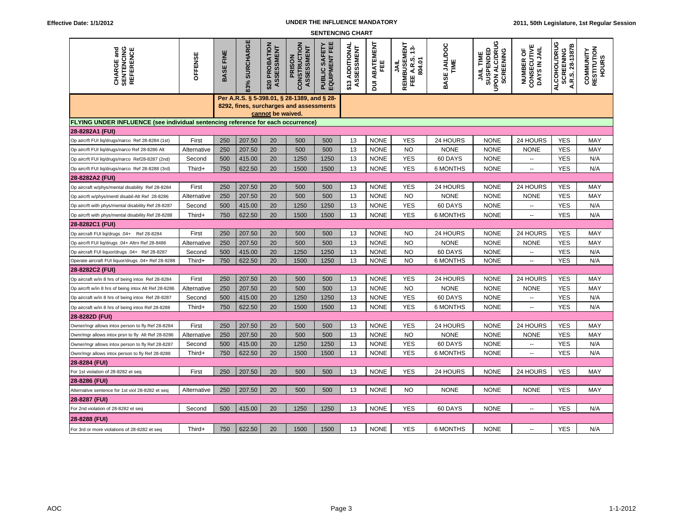## **UNDER THE INFLUENCE MANDATORY**

| <b>SENTENCING CHART</b>                                                                 |             |                                                                                                             |               |                              |                                      |                                           |                               |                           |                                                        |                      |                                                             |                                                  |                                                      |                                          |
|-----------------------------------------------------------------------------------------|-------------|-------------------------------------------------------------------------------------------------------------|---------------|------------------------------|--------------------------------------|-------------------------------------------|-------------------------------|---------------------------|--------------------------------------------------------|----------------------|-------------------------------------------------------------|--------------------------------------------------|------------------------------------------------------|------------------------------------------|
| <b>CHARGE and<br/>SENTENCING</b><br>REFERENCE                                           | OFFENSE     | <b>BASE FINE</b>                                                                                            | 83% SURCHARGE | \$20 PROBATION<br>ASSESSMENT | CONSTRUCTION<br>ASSESSMENT<br>PRISON | SAFETY<br>MENT FEE<br>EQUIPMENT<br>PUBLIC | \$13 ADDITIONAL<br>ASSESSMENT | <b>DUI ABATEMENT</b><br>삔 | <b>REIMBUSEMENT<br/>FEE A.R.S. 13-</b><br>804.01<br>इं | BASE JAILDOC<br>TIME | UPON ALC/DRUG<br>JAIL TIME<br>SUSPENDED<br><b>SCREENING</b> | <b>NUMBER OF<br/>CONSECUTIVE</b><br>DAYS IN JAIL | ALCOHOL/DRUG<br><b>SCREENING<br/>A.R.S. 28-1387B</b> | RESTITUTION<br>COMMUNITY<br><b>HOURS</b> |
|                                                                                         |             | Per A.R.S. § 5-398.01, § 28-1389, and § 28-<br>8292, fines, surcharges and assessments<br>cannot be waived. |               |                              |                                      |                                           |                               |                           |                                                        |                      |                                                             |                                                  |                                                      |                                          |
| <b>FLYING UNDER INFLUENCE (see individual sentencing reference for each occurrence)</b> |             |                                                                                                             |               |                              |                                      |                                           |                               |                           |                                                        |                      |                                                             |                                                  |                                                      |                                          |
| 28-8282A1 (FUI)                                                                         |             |                                                                                                             |               |                              |                                      |                                           |                               |                           |                                                        |                      |                                                             |                                                  |                                                      |                                          |
| Op aircrft FUI liq/drugs/narco Ref 28-8284 (1st)                                        | First       | 250                                                                                                         | 207.50        | 20                           | 500                                  | 500                                       | 13                            | <b>NONE</b>               | <b>YES</b>                                             | 24 HOURS             | <b>NONE</b>                                                 | 24 HOURS                                         | <b>YES</b>                                           | MAY                                      |
| Op aircrft FUI liq/drugs/narco Ref 28-8286 Alt                                          | Alternative | 250                                                                                                         | 207.50        | 20                           | 500                                  | 500                                       | 13                            | <b>NONE</b>               | <b>NO</b>                                              | <b>NONE</b>          | <b>NONE</b>                                                 | <b>NONE</b>                                      | <b>YES</b>                                           | MAY                                      |
| Op aircrft FUI liq/drugs/narco Ref28-8287 (2nd)                                         | Second      | 500                                                                                                         | 415.00        | 20                           | 1250                                 | 1250                                      | 13                            | <b>NONE</b>               | <b>YES</b>                                             | 60 DAYS              | <b>NONE</b>                                                 | Ξ.                                               | <b>YES</b>                                           | N/A                                      |
| Op aircrft FUI liq/drugs/narco Ref 28-8288 (3rd)                                        | Third+      | 750                                                                                                         | 622.50        | 20                           | 1500                                 | 1500                                      | 13                            | <b>NONE</b>               | <b>YES</b>                                             | 6 MONTHS             | <b>NONE</b>                                                 | $\overline{\phantom{a}}$                         | <b>YES</b>                                           | N/A                                      |
| 28-8282A2 (FUI)                                                                         |             |                                                                                                             |               |                              |                                      |                                           |                               |                           |                                                        |                      |                                                             |                                                  |                                                      |                                          |
| Op aircraft w/phys/mental disability Ref 28-8284                                        | First       | 250                                                                                                         | 207.50        | 20                           | 500                                  | 500                                       | 13                            | <b>NONE</b>               | <b>YES</b>                                             | 24 HOURS             | <b>NONE</b>                                                 | 24 HOURS                                         | <b>YES</b>                                           | MAY                                      |
| Op aircrft w/phys/mentl disabil-Alt Ref 28-8286                                         | Alternative | 250                                                                                                         | 207.50        | 20                           | 500                                  | 500                                       | 13                            | <b>NONE</b>               | <b>NO</b>                                              | <b>NONE</b>          | <b>NONE</b>                                                 | <b>NONE</b>                                      | <b>YES</b>                                           | MAY                                      |
| Op aircrft with phys/mental disability Ref 28-8287                                      | Second      | 500                                                                                                         | 415.00        | 20                           | 1250                                 | 1250                                      | 13                            | <b>NONE</b>               | <b>YES</b>                                             | 60 DAYS              | <b>NONE</b>                                                 | $\overline{\phantom{a}}$                         | <b>YES</b>                                           | N/A                                      |
| Op aircrft with phys/mental disability Ref 28-8288                                      | Third+      | 750                                                                                                         | 622.50        | 20                           | 1500                                 | 1500                                      | 13                            | <b>NONE</b>               | <b>YES</b>                                             | <b>6 MONTHS</b>      | <b>NONE</b>                                                 | $\sim$                                           | <b>YES</b>                                           | N/A                                      |
| 28-8282C1 (FUI)                                                                         |             |                                                                                                             |               |                              |                                      |                                           |                               |                           |                                                        |                      |                                                             |                                                  |                                                      |                                          |
| Op aircraft FUI liq/drugs .04+ Ref 28-8284                                              | First       | 250                                                                                                         | 207.50        | 20                           | 500                                  | 500                                       | 13                            | <b>NONE</b>               | <b>NO</b>                                              | 24 HOURS             | <b>NONE</b>                                                 | 24 HOURS                                         | <b>YES</b>                                           | MAY                                      |
| Op aircrft FUI liq/drugs .04+ Altrn Ref 28-8486                                         | Alternative | 250                                                                                                         | 207.50        | 20                           | 500                                  | 500                                       | 13                            | <b>NONE</b>               | <b>NO</b>                                              | <b>NONE</b>          | <b>NONE</b>                                                 | <b>NONE</b>                                      | <b>YES</b>                                           | MAY                                      |
| Op aircraft FUI liquor/drugs .04+ Ref 28-8287                                           | Second      | 500                                                                                                         | 415.00        | 20                           | 1250                                 | 1250                                      | 13                            | <b>NONE</b>               | <b>NO</b>                                              | 60 DAYS              | <b>NONE</b>                                                 | $\overline{\phantom{a}}$                         | <b>YES</b>                                           | N/A                                      |
| Operate aircraft FUI liquor/drugs .04+ Ref 28-8288                                      | Third+      | 750                                                                                                         | 622.50        | 20                           | 1500                                 | 1250                                      | 13                            | <b>NONE</b>               | N <sub>O</sub>                                         | <b>6 MONTHS</b>      | <b>NONE</b>                                                 | $\overline{\phantom{a}}$                         | <b>YES</b>                                           | N/A                                      |
| 28-8282C2 (FUI)                                                                         |             |                                                                                                             |               |                              |                                      |                                           |                               |                           |                                                        |                      |                                                             |                                                  |                                                      |                                          |
| Op aircraft w/in 8 hrs of being intox Ref 28-8284                                       | First       | 250                                                                                                         | 207.50        | 20                           | 500                                  | 500                                       | 13                            | <b>NONE</b>               | <b>YES</b>                                             | 24 HOURS             | <b>NONE</b>                                                 | 24 HOURS                                         | <b>YES</b>                                           | MAY                                      |
| Op aircrft w/in 8 hrs of being intox Alt Ref 28-8286                                    | Alternative | 250                                                                                                         | 207.50        | 20                           | 500                                  | 500                                       | 13                            | <b>NONE</b>               | <b>NO</b>                                              | <b>NONE</b>          | <b>NONE</b>                                                 | <b>NONE</b>                                      | <b>YES</b>                                           | MAY                                      |
| Op aircraft w/in 8 hrs of being intox Ref 28-8287                                       | Second      | 500                                                                                                         | 415.00        | 20                           | 1250                                 | 1250                                      | 13                            | <b>NONE</b>               | <b>YES</b>                                             | 60 DAYS              | <b>NONE</b>                                                 |                                                  | <b>YES</b>                                           | N/A                                      |
| Op aircraft w/in 8 hrs of being intox Ref 28-8288                                       | Third+      | 750                                                                                                         | 622.50        | 20                           | 1500                                 | 1500                                      | 13                            | <b>NONE</b>               | <b>YES</b>                                             | <b>6 MONTHS</b>      | <b>NONE</b>                                                 | ÷.                                               | <b>YES</b>                                           | N/A                                      |
| 28-8282D (FUI)                                                                          |             |                                                                                                             |               |                              |                                      |                                           |                               |                           |                                                        |                      |                                                             |                                                  |                                                      |                                          |
| Owner/mgr allows intox person to fly Ref 28-8284                                        | First       | 250                                                                                                         | 207.50        | 20                           | 500                                  | 500                                       | 13                            | <b>NONE</b>               | <b>YES</b>                                             | 24 HOURS             | <b>NONE</b>                                                 | 24 HOURS                                         | <b>YES</b>                                           | MAY                                      |
| Ownr/mgr allows intox prsn to fly Alt Ref 28-8286                                       | Alternative | 250                                                                                                         | 207.50        | 20                           | 500                                  | 500                                       | 13                            | <b>NONE</b>               | <b>NO</b>                                              | <b>NONE</b>          | <b>NONE</b>                                                 | <b>NONE</b>                                      | <b>YES</b>                                           | MAY                                      |
| Owner/mgr allows intox person to fly Ref 28-8287                                        | Second      | 500                                                                                                         | 415.00        | 20                           | 1250                                 | 1250                                      | 13                            | <b>NONE</b>               | <b>YES</b>                                             | 60 DAYS              | <b>NONE</b>                                                 | $\overline{\phantom{a}}$                         | <b>YES</b>                                           | N/A                                      |
| Ownr/mgr allows intox person to fly Ref 28-8288                                         | Third+      | 750                                                                                                         | 622.50        | 20                           | 1500                                 | 1500                                      | 13                            | <b>NONE</b>               | <b>YES</b>                                             | 6 MONTHS             | <b>NONE</b>                                                 | $\sim$                                           | <b>YES</b>                                           | N/A                                      |
| 28-8284 (FUI)                                                                           |             |                                                                                                             |               |                              |                                      |                                           |                               |                           |                                                        |                      |                                                             |                                                  |                                                      |                                          |
| For 1st violation of 28-8282 et seq                                                     | First       | 250                                                                                                         | 207.50        | 20                           | 500                                  | 500                                       | 13                            | <b>NONE</b>               | <b>YES</b>                                             | 24 HOURS             | <b>NONE</b>                                                 | 24 HOURS                                         | <b>YES</b>                                           | MAY                                      |
| 28-8286 (FUI)                                                                           |             |                                                                                                             |               |                              |                                      |                                           |                               |                           |                                                        |                      |                                                             |                                                  |                                                      |                                          |
| Alternative sentence for 1st viol 28-8282 et seq                                        | Alternative | 250                                                                                                         | 207.50        | 20                           | 500                                  | 500                                       | 13                            | <b>NONE</b>               | N <sub>O</sub>                                         | <b>NONE</b>          | <b>NONE</b>                                                 | <b>NONE</b>                                      | <b>YES</b>                                           | MAY                                      |
| 28-8287 (FUI)                                                                           |             |                                                                                                             |               |                              |                                      |                                           |                               |                           |                                                        |                      |                                                             |                                                  |                                                      |                                          |
| For 2nd violation of 28-8282 et seq                                                     | Second      | 500                                                                                                         | 415.00        | 20                           | 1250                                 | 1250                                      | 13                            | <b>NONE</b>               | <b>YES</b>                                             | 60 DAYS              | <b>NONE</b>                                                 | $\overline{\phantom{a}}$                         | <b>YES</b>                                           | N/A                                      |
| 28-8288 (FUI)                                                                           |             |                                                                                                             |               |                              |                                      |                                           |                               |                           |                                                        |                      |                                                             |                                                  |                                                      |                                          |
| For 3rd or more violations of 28-8282 et seq                                            | Third+      | 750                                                                                                         | 622.50        | 20                           | 1500                                 | 1500                                      | 13                            | <b>NONE</b>               | <b>YES</b>                                             | <b>6 MONTHS</b>      | <b>NONE</b>                                                 | $\overline{a}$                                   | <b>YES</b>                                           | N/A                                      |